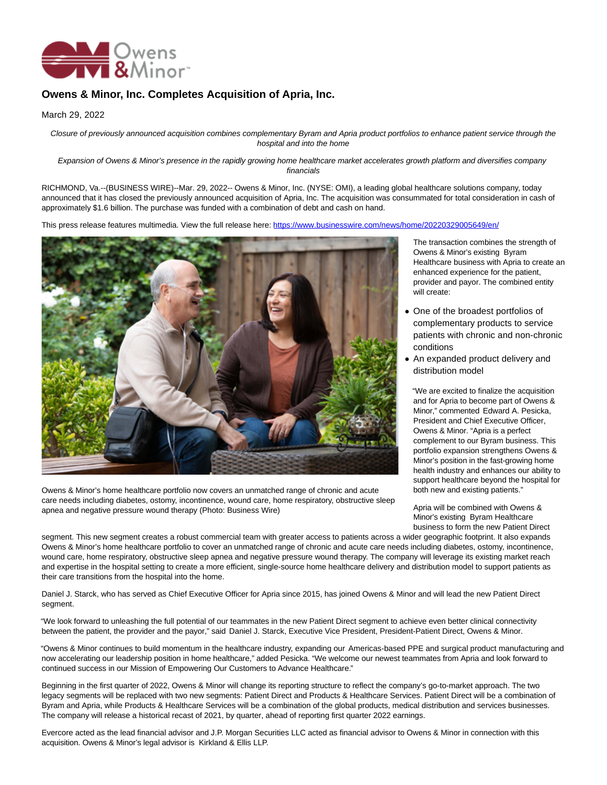

## **Owens & Minor, Inc. Completes Acquisition of Apria, Inc.**

March 29, 2022

Closure of previously announced acquisition combines complementary Byram and Apria product portfolios to enhance patient service through the hospital and into the home

Expansion of Owens & Minor's presence in the rapidly growing home healthcare market accelerates growth platform and diversifies company financials

RICHMOND, Va.--(BUSINESS WIRE)--Mar. 29, 2022-- Owens & Minor, Inc. (NYSE: OMI), a leading global healthcare solutions company, today announced that it has closed the previously announced acquisition of Apria, Inc. The acquisition was consummated for total consideration in cash of approximately \$1.6 billion. The purchase was funded with a combination of debt and cash on hand.

This press release features multimedia. View the full release here:<https://www.businesswire.com/news/home/20220329005649/en/>



Owens & Minor's home healthcare portfolio now covers an unmatched range of chronic and acute care needs including diabetes, ostomy, incontinence, wound care, home respiratory, obstructive sleep apnea and negative pressure wound therapy (Photo: Business Wire)

The transaction combines the strength of Owens & Minor's existing Byram Healthcare business with Apria to create an enhanced experience for the patient, provider and payor. The combined entity will create:

- One of the broadest portfolios of complementary products to service patients with chronic and non-chronic conditions
- An expanded product delivery and distribution model

"We are excited to finalize the acquisition and for Apria to become part of Owens & Minor," commented Edward A. Pesicka, President and Chief Executive Officer, Owens & Minor. "Apria is a perfect complement to our Byram business. This portfolio expansion strengthens Owens & Minor's position in the fast-growing home health industry and enhances our ability to support healthcare beyond the hospital for both new and existing patients."

Apria will be combined with Owens & Minor's existing Byram Healthcare business to form the new Patient Direct

segment. This new segment creates a robust commercial team with greater access to patients across a wider geographic footprint. It also expands Owens & Minor's home healthcare portfolio to cover an unmatched range of chronic and acute care needs including diabetes, ostomy, incontinence, wound care, home respiratory, obstructive sleep apnea and negative pressure wound therapy. The company will leverage its existing market reach and expertise in the hospital setting to create a more efficient, single-source home healthcare delivery and distribution model to support patients as their care transitions from the hospital into the home.

Daniel J. Starck, who has served as Chief Executive Officer for Apria since 2015, has joined Owens & Minor and will lead the new Patient Direct segment.

"We look forward to unleashing the full potential of our teammates in the new Patient Direct segment to achieve even better clinical connectivity between the patient, the provider and the payor," said Daniel J. Starck, Executive Vice President, President-Patient Direct, Owens & Minor.

"Owens & Minor continues to build momentum in the healthcare industry, expanding our Americas-based PPE and surgical product manufacturing and now accelerating our leadership position in home healthcare," added Pesicka. "We welcome our newest teammates from Apria and look forward to continued success in our Mission of Empowering Our Customers to Advance Healthcare."

Beginning in the first quarter of 2022, Owens & Minor will change its reporting structure to reflect the company's go-to-market approach. The two legacy segments will be replaced with two new segments: Patient Direct and Products & Healthcare Services. Patient Direct will be a combination of Byram and Apria, while Products & Healthcare Services will be a combination of the global products, medical distribution and services businesses. The company will release a historical recast of 2021, by quarter, ahead of reporting first quarter 2022 earnings.

Evercore acted as the lead financial advisor and J.P. Morgan Securities LLC acted as financial advisor to Owens & Minor in connection with this acquisition. Owens & Minor's legal advisor is Kirkland & Ellis LLP.